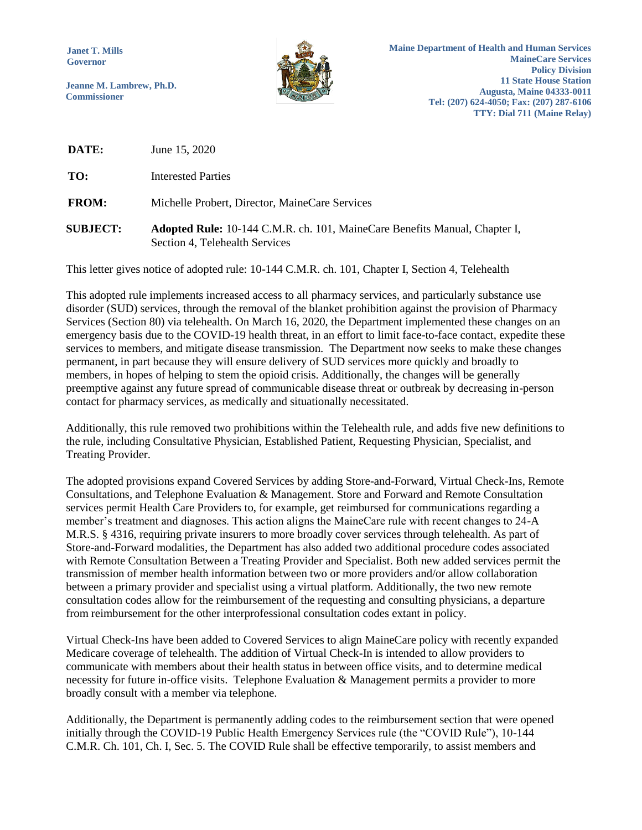**Janet T. Mills Governor**

**Jeanne M. Lambrew, Ph.D. Commissioner**



**Maine Department of Health and Human Services MaineCare Services Policy Division 11 State House Station Augusta, Maine 04333-0011 Tel: (207) 624-4050; Fax: (207) 287-6106 TTY: Dial 711 (Maine Relay)** 

**DATE:** June 15, 2020

**TO:** Interested Parties

**FROM:** Michelle Probert, Director, MaineCare Services

**SUBJECT: Adopted Rule:** 10-144 C.M.R. ch. 101, MaineCare Benefits Manual, Chapter I, Section 4, Telehealth Services

This letter gives notice of adopted rule: 10-144 C.M.R. ch. 101, Chapter I, Section 4, Telehealth

This adopted rule implements increased access to all pharmacy services, and particularly substance use disorder (SUD) services, through the removal of the blanket prohibition against the provision of Pharmacy Services (Section 80) via telehealth. On March 16, 2020, the Department implemented these changes on an emergency basis due to the COVID-19 health threat, in an effort to limit face-to-face contact, expedite these services to members, and mitigate disease transmission. The Department now seeks to make these changes permanent, in part because they will ensure delivery of SUD services more quickly and broadly to members, in hopes of helping to stem the opioid crisis. Additionally, the changes will be generally preemptive against any future spread of communicable disease threat or outbreak by decreasing in-person contact for pharmacy services, as medically and situationally necessitated.

Additionally, this rule removed two prohibitions within the Telehealth rule, and adds five new definitions to the rule, including Consultative Physician, Established Patient, Requesting Physician, Specialist, and Treating Provider.

The adopted provisions expand Covered Services by adding Store-and-Forward, Virtual Check-Ins, Remote Consultations, and Telephone Evaluation & Management. Store and Forward and Remote Consultation services permit Health Care Providers to, for example, get reimbursed for communications regarding a member's treatment and diagnoses. This action aligns the MaineCare rule with recent changes to 24-A M.R.S. § 4316, requiring private insurers to more broadly cover services through telehealth. As part of Store-and-Forward modalities, the Department has also added two additional procedure codes associated with Remote Consultation Between a Treating Provider and Specialist. Both new added services permit the transmission of member health information between two or more providers and/or allow collaboration between a primary provider and specialist using a virtual platform. Additionally, the two new remote consultation codes allow for the reimbursement of the requesting and consulting physicians, a departure from reimbursement for the other interprofessional consultation codes extant in policy.

Virtual Check-Ins have been added to Covered Services to align MaineCare policy with recently expanded Medicare coverage of telehealth. The addition of Virtual Check-In is intended to allow providers to communicate with members about their health status in between office visits, and to determine medical necessity for future in-office visits. Telephone Evaluation & Management permits a provider to more broadly consult with a member via telephone.

Additionally, the Department is permanently adding codes to the reimbursement section that were opened initially through the COVID-19 Public Health Emergency Services rule (the "COVID Rule"), 10-144 C.M.R. Ch. 101, Ch. I, Sec. 5. The COVID Rule shall be effective temporarily, to assist members and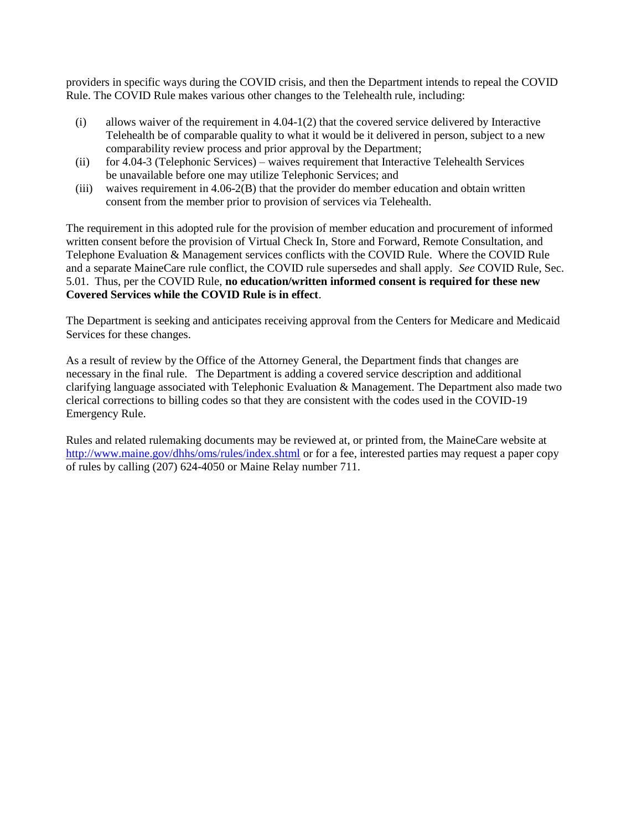providers in specific ways during the COVID crisis, and then the Department intends to repeal the COVID Rule. The COVID Rule makes various other changes to the Telehealth rule, including:

- $(i)$  allows waiver of the requirement in 4.04-1(2) that the covered service delivered by Interactive Telehealth be of comparable quality to what it would be it delivered in person, subject to a new comparability review process and prior approval by the Department;
- (ii) for 4.04-3 (Telephonic Services) waives requirement that Interactive Telehealth Services be unavailable before one may utilize Telephonic Services; and
- (iii) waives requirement in 4.06-2(B) that the provider do member education and obtain written consent from the member prior to provision of services via Telehealth.

The requirement in this adopted rule for the provision of member education and procurement of informed written consent before the provision of Virtual Check In, Store and Forward, Remote Consultation, and Telephone Evaluation & Management services conflicts with the COVID Rule. Where the COVID Rule and a separate MaineCare rule conflict, the COVID rule supersedes and shall apply. *See* COVID Rule, Sec. 5.01. Thus, per the COVID Rule, **no education/written informed consent is required for these new Covered Services while the COVID Rule is in effect**.

The Department is seeking and anticipates receiving approval from the Centers for Medicare and Medicaid Services for these changes.

As a result of review by the Office of the Attorney General, the Department finds that changes are necessary in the final rule. The Department is adding a covered service description and additional clarifying language associated with Telephonic Evaluation & Management. The Department also made two clerical corrections to billing codes so that they are consistent with the codes used in the COVID-19 Emergency Rule.

Rules and related rulemaking documents may be reviewed at, or printed from, the MaineCare website at <http://www.maine.gov/dhhs/oms/rules/index.shtml> or for a fee, interested parties may request a paper copy of rules by calling (207) 624-4050 or Maine Relay number 711.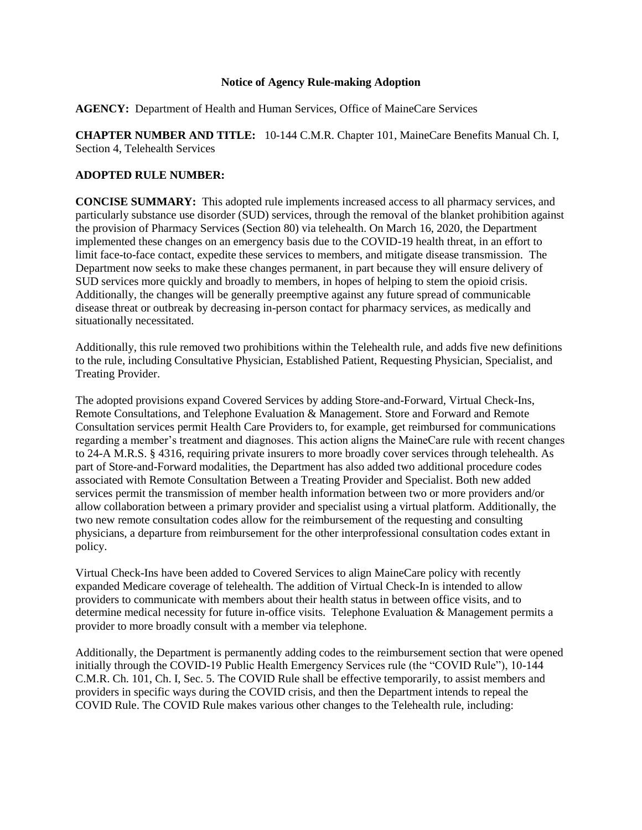# **Notice of Agency Rule-making Adoption**

**AGENCY:** Department of Health and Human Services, Office of MaineCare Services

**CHAPTER NUMBER AND TITLE:** 10-144 C.M.R. Chapter 101, MaineCare Benefits Manual Ch. I, Section 4, Telehealth Services

# **ADOPTED RULE NUMBER:**

**CONCISE SUMMARY:** This adopted rule implements increased access to all pharmacy services, and particularly substance use disorder (SUD) services, through the removal of the blanket prohibition against the provision of Pharmacy Services (Section 80) via telehealth. On March 16, 2020, the Department implemented these changes on an emergency basis due to the COVID-19 health threat, in an effort to limit face-to-face contact, expedite these services to members, and mitigate disease transmission. The Department now seeks to make these changes permanent, in part because they will ensure delivery of SUD services more quickly and broadly to members, in hopes of helping to stem the opioid crisis. Additionally, the changes will be generally preemptive against any future spread of communicable disease threat or outbreak by decreasing in-person contact for pharmacy services, as medically and situationally necessitated.

Additionally, this rule removed two prohibitions within the Telehealth rule, and adds five new definitions to the rule, including Consultative Physician, Established Patient, Requesting Physician, Specialist, and Treating Provider.

The adopted provisions expand Covered Services by adding Store-and-Forward, Virtual Check-Ins, Remote Consultations, and Telephone Evaluation & Management. Store and Forward and Remote Consultation services permit Health Care Providers to, for example, get reimbursed for communications regarding a member's treatment and diagnoses. This action aligns the MaineCare rule with recent changes to 24-A M.R.S. § 4316, requiring private insurers to more broadly cover services through telehealth. As part of Store-and-Forward modalities, the Department has also added two additional procedure codes associated with Remote Consultation Between a Treating Provider and Specialist. Both new added services permit the transmission of member health information between two or more providers and/or allow collaboration between a primary provider and specialist using a virtual platform. Additionally, the two new remote consultation codes allow for the reimbursement of the requesting and consulting physicians, a departure from reimbursement for the other interprofessional consultation codes extant in policy.

Virtual Check-Ins have been added to Covered Services to align MaineCare policy with recently expanded Medicare coverage of telehealth. The addition of Virtual Check-In is intended to allow providers to communicate with members about their health status in between office visits, and to determine medical necessity for future in-office visits. Telephone Evaluation & Management permits a provider to more broadly consult with a member via telephone.

Additionally, the Department is permanently adding codes to the reimbursement section that were opened initially through the COVID-19 Public Health Emergency Services rule (the "COVID Rule"), 10-144 C.M.R. Ch. 101, Ch. I, Sec. 5. The COVID Rule shall be effective temporarily, to assist members and providers in specific ways during the COVID crisis, and then the Department intends to repeal the COVID Rule. The COVID Rule makes various other changes to the Telehealth rule, including: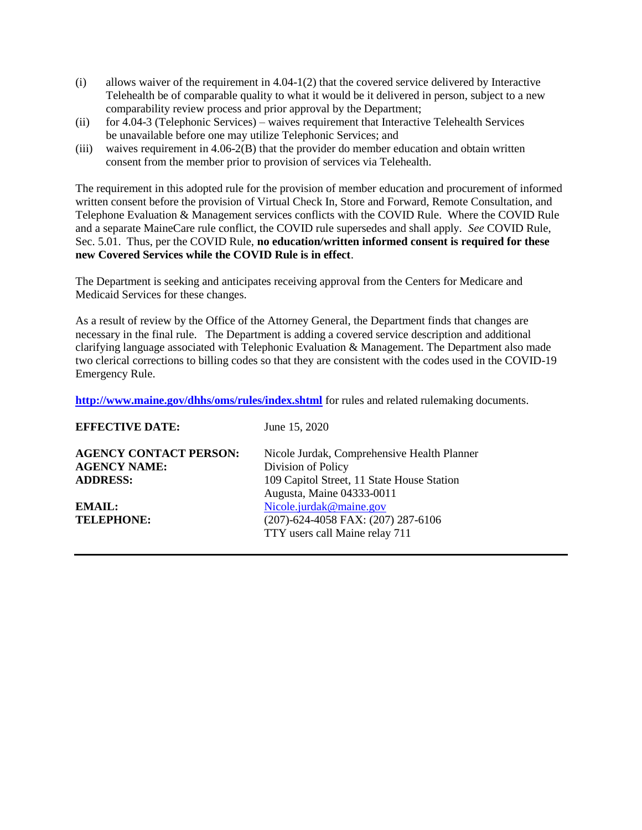- $(i)$  allows waiver of the requirement in 4.04-1(2) that the covered service delivered by Interactive Telehealth be of comparable quality to what it would be it delivered in person, subject to a new comparability review process and prior approval by the Department;
- (ii) for 4.04-3 (Telephonic Services) waives requirement that Interactive Telehealth Services be unavailable before one may utilize Telephonic Services; and
- (iii) waives requirement in 4.06-2(B) that the provider do member education and obtain written consent from the member prior to provision of services via Telehealth.

The requirement in this adopted rule for the provision of member education and procurement of informed written consent before the provision of Virtual Check In, Store and Forward, Remote Consultation, and Telephone Evaluation & Management services conflicts with the COVID Rule. Where the COVID Rule and a separate MaineCare rule conflict, the COVID rule supersedes and shall apply. *See* COVID Rule, Sec. 5.01. Thus, per the COVID Rule, **no education/written informed consent is required for these new Covered Services while the COVID Rule is in effect**.

The Department is seeking and anticipates receiving approval from the Centers for Medicare and Medicaid Services for these changes.

As a result of review by the Office of the Attorney General, the Department finds that changes are necessary in the final rule. The Department is adding a covered service description and additional clarifying language associated with Telephonic Evaluation & Management. The Department also made two clerical corrections to billing codes so that they are consistent with the codes used in the COVID-19 Emergency Rule.

**<http://www.maine.gov/dhhs/oms/rules/index.shtml>** for rules and related rulemaking documents.

| June 15, 2020                               |
|---------------------------------------------|
| Nicole Jurdak, Comprehensive Health Planner |
| Division of Policy                          |
| 109 Capitol Street, 11 State House Station  |
| Augusta, Maine 04333-0011                   |
| Nicole.jurdak@maine.gov                     |
| (207)-624-4058 FAX: (207) 287-6106          |
| TTY users call Maine relay 711              |
|                                             |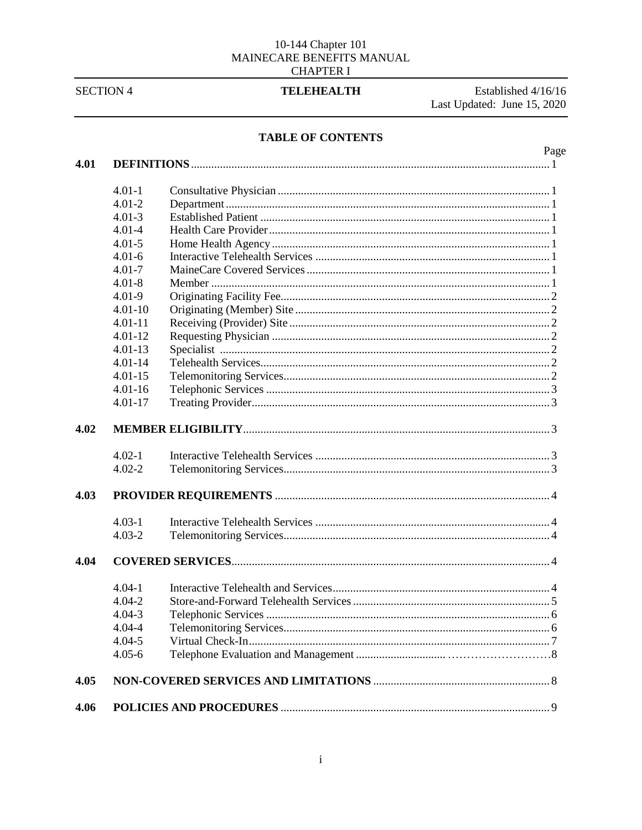# $10\mbox{-}144\text{ Chapter }101$  MAINECARE BENEFITS MANUAL **CHAPTER I**

**SECTION 4** 

# **TELEHEALTH**

Established 4/16/16 Last Updated: June 15, 2020

# TABLE OF CONTENTS

# Page

| 4.01 |             |  |
|------|-------------|--|
|      | $4.01 - 1$  |  |
|      | $4.01 - 2$  |  |
|      | $4.01 - 3$  |  |
|      | $4.01 - 4$  |  |
|      | $4.01 - 5$  |  |
|      | $4.01 - 6$  |  |
|      | $4.01 - 7$  |  |
|      | $4.01 - 8$  |  |
|      | $4.01 - 9$  |  |
|      | $4.01 - 10$ |  |
|      | $4.01 - 11$ |  |
|      | $4.01 - 12$ |  |
|      | $4.01 - 13$ |  |
|      | $4.01 - 14$ |  |
|      | $4.01 - 15$ |  |
|      | $4.01 - 16$ |  |
|      | $4.01 - 17$ |  |
| 4.02 |             |  |
|      | $4.02 - 1$  |  |
|      | $4.02 - 2$  |  |
| 4.03 |             |  |
|      | $4.03 - 1$  |  |
|      | $4.03 - 2$  |  |
| 4.04 |             |  |
|      | $4.04 - 1$  |  |
|      | $4.04 - 2$  |  |
|      | $4.04 - 3$  |  |
|      | $4.04 - 4$  |  |
|      | $4.04 - 5$  |  |
|      | $4.05 - 6$  |  |
| 4.05 |             |  |
| 4.06 |             |  |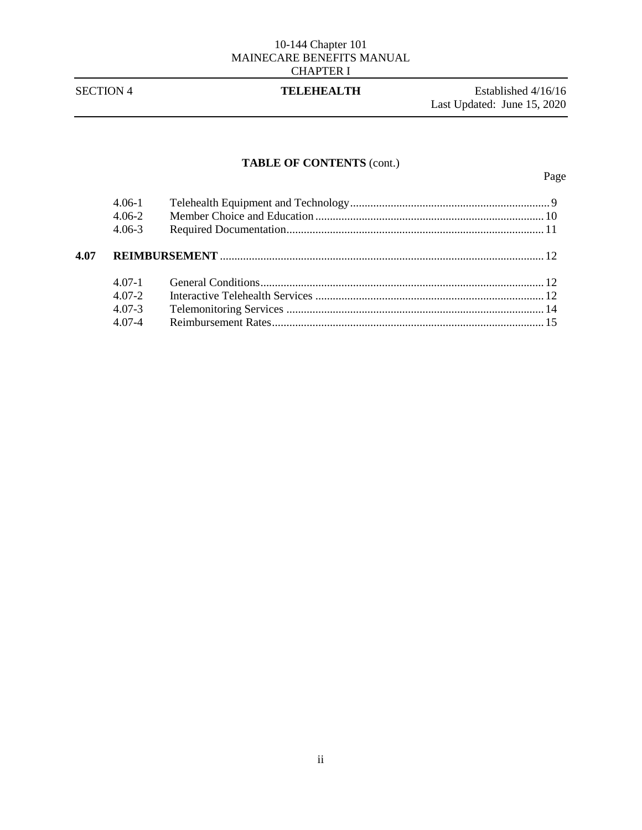# **TABLE OF CONTENTS** (cont.)

|      | $4.06 - 1$<br>$4.06 - 2$ |  |  |
|------|--------------------------|--|--|
|      | $4.06 - 3$               |  |  |
| 4.07 |                          |  |  |
|      | 4 0 7 - 1                |  |  |
|      | $4.07 - 2.$              |  |  |
|      | $4.07 - 3$               |  |  |
|      | $407-4$                  |  |  |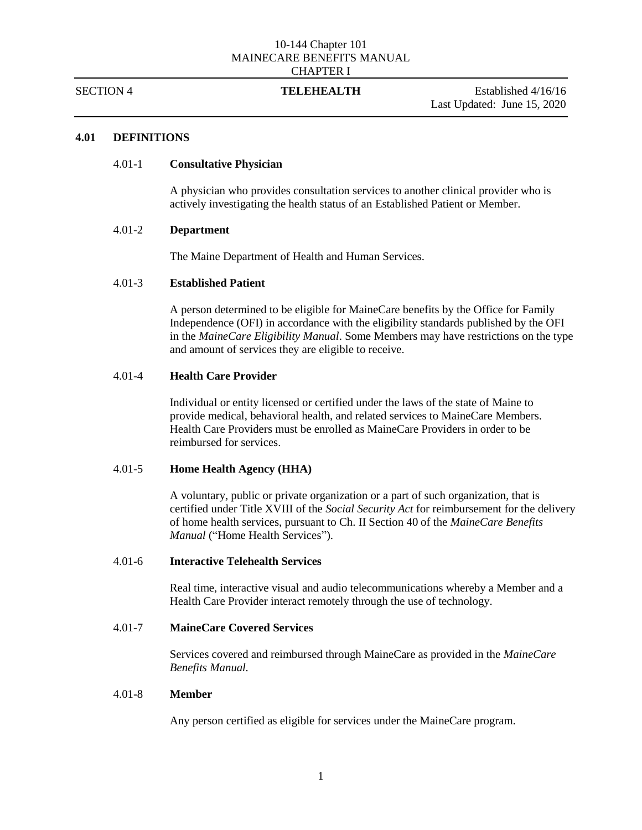SECTION 4 **TELEHEALTH** Established 4/16/16 Last Updated: June 15, 2020

# **4.01 DEFINITIONS**

### 4.01-1 **Consultative Physician**

A physician who provides consultation services to another clinical provider who is actively investigating the health status of an Established Patient or Member.

# 4.01-2 **Department**

The Maine Department of Health and Human Services.

# 4.01-3 **Established Patient**

A person determined to be eligible for MaineCare benefits by the Office for Family Independence (OFI) in accordance with the eligibility standards published by the OFI in the *MaineCare Eligibility Manual*. Some Members may have restrictions on the type and amount of services they are eligible to receive.

# 4.01-4 **Health Care Provider**

Individual or entity licensed or certified under the laws of the state of Maine to provide medical, behavioral health, and related services to MaineCare Members. Health Care Providers must be enrolled as MaineCare Providers in order to be reimbursed for services.

### 4.01-5 **Home Health Agency (HHA)**

A voluntary, public or private organization or a part of such organization, that is certified under Title XVIII of the *Social Security Act* for reimbursement for the delivery of home health services, pursuant to Ch. II Section 40 of the *MaineCare Benefits Manual* ("Home Health Services").

## 4.01-6 **Interactive Telehealth Services**

Real time, interactive visual and audio telecommunications whereby a Member and a Health Care Provider interact remotely through the use of technology.

# 4.01-7 **MaineCare Covered Services**

Services covered and reimbursed through MaineCare as provided in the *MaineCare Benefits Manual.*

# 4.01-8 **Member**

Any person certified as eligible for services under the MaineCare program.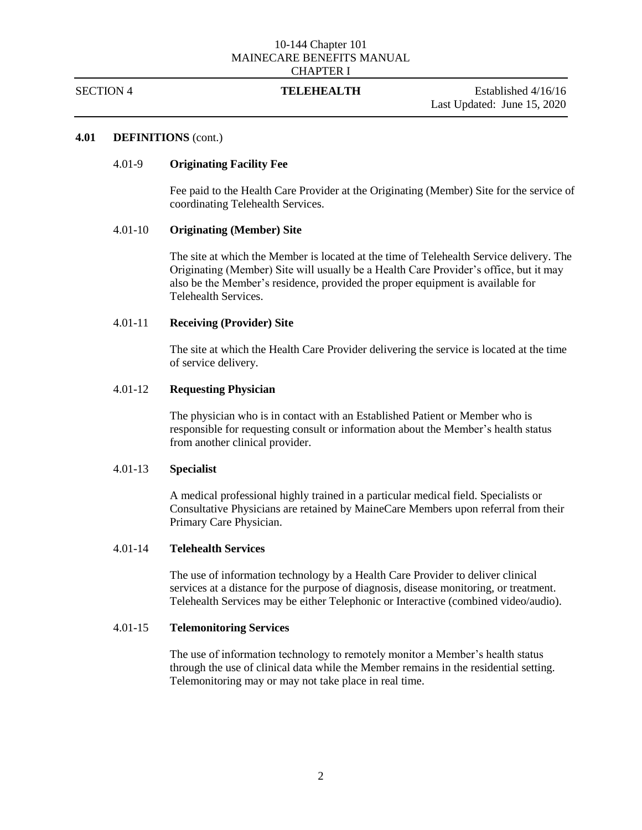SECTION 4 **TELEHEALTH** Established 4/16/16 Last Updated: June 15, 2020

# **4.01 DEFINITIONS** (cont.)

### 4.01-9 **Originating Facility Fee**

Fee paid to the Health Care Provider at the Originating (Member) Site for the service of coordinating Telehealth Services.

# 4.01-10 **Originating (Member) Site**

The site at which the Member is located at the time of Telehealth Service delivery. The Originating (Member) Site will usually be a Health Care Provider's office, but it may also be the Member's residence, provided the proper equipment is available for Telehealth Services.

# 4.01-11 **Receiving (Provider) Site**

The site at which the Health Care Provider delivering the service is located at the time of service delivery.

### 4.01-12 **Requesting Physician**

The physician who is in contact with an Established Patient or Member who is responsible for requesting consult or information about the Member's health status from another clinical provider.

### 4.01-13 **Specialist**

A medical professional highly trained in a particular medical field. Specialists or Consultative Physicians are retained by MaineCare Members upon referral from their Primary Care Physician.

### 4.01-14 **Telehealth Services**

The use of information technology by a Health Care Provider to deliver clinical services at a distance for the purpose of diagnosis, disease monitoring, or treatment. Telehealth Services may be either Telephonic or Interactive (combined video/audio).

### 4.01-15 **Telemonitoring Services**

The use of information technology to remotely monitor a Member's health status through the use of clinical data while the Member remains in the residential setting. Telemonitoring may or may not take place in real time.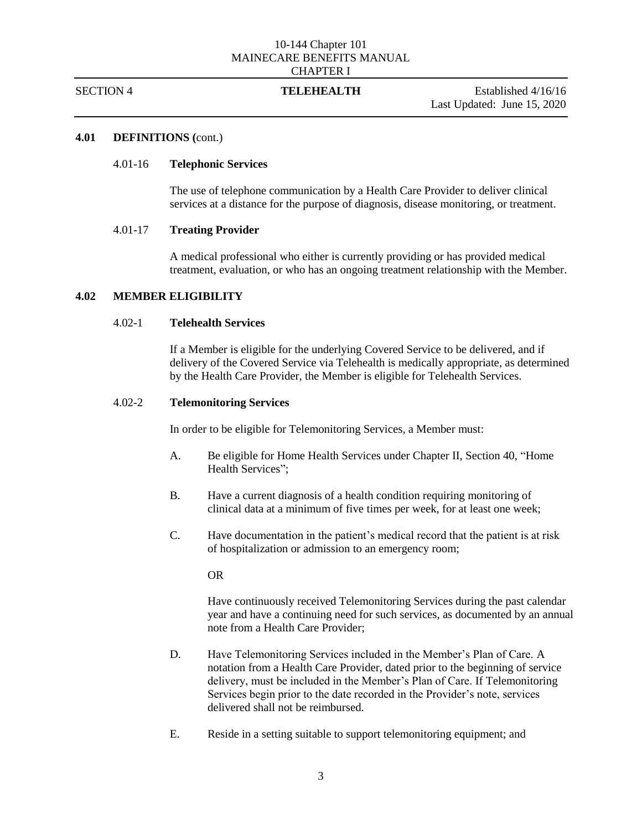SECTION 4 **TELEHEALTH** Established 4/16/16 Last Updated: June 15, 2020

### **4.01 DEFINITIONS (**cont.)

### 4.01-16 **Telephonic Services**

The use of telephone communication by a Health Care Provider to deliver clinical services at a distance for the purpose of diagnosis, disease monitoring, or treatment.

# 4.01-17 **Treating Provider**

A medical professional who either is currently providing or has provided medical treatment, evaluation, or who has an ongoing treatment relationship with the Member.

# **4.02 MEMBER ELIGIBILITY**

# 4.02-1 **Telehealth Services**

If a Member is eligible for the underlying Covered Service to be delivered, and if delivery of the Covered Service via Telehealth is medically appropriate, as determined by the Health Care Provider, the Member is eligible for Telehealth Services.

# 4.02-2 **Telemonitoring Services**

In order to be eligible for Telemonitoring Services, a Member must:

- A. Be eligible for Home Health Services under Chapter II, Section 40, "Home Health Services":
- B. Have a current diagnosis of a health condition requiring monitoring of clinical data at a minimum of five times per week, for at least one week;
- C. Have documentation in the patient's medical record that the patient is at risk of hospitalization or admission to an emergency room;

OR

Have continuously received Telemonitoring Services during the past calendar year and have a continuing need for such services, as documented by an annual note from a Health Care Provider;

- D. Have Telemonitoring Services included in the Member's Plan of Care. A notation from a Health Care Provider, dated prior to the beginning of service delivery, must be included in the Member's Plan of Care. If Telemonitoring Services begin prior to the date recorded in the Provider's note, services delivered shall not be reimbursed.
- E. Reside in a setting suitable to support telemonitoring equipment; and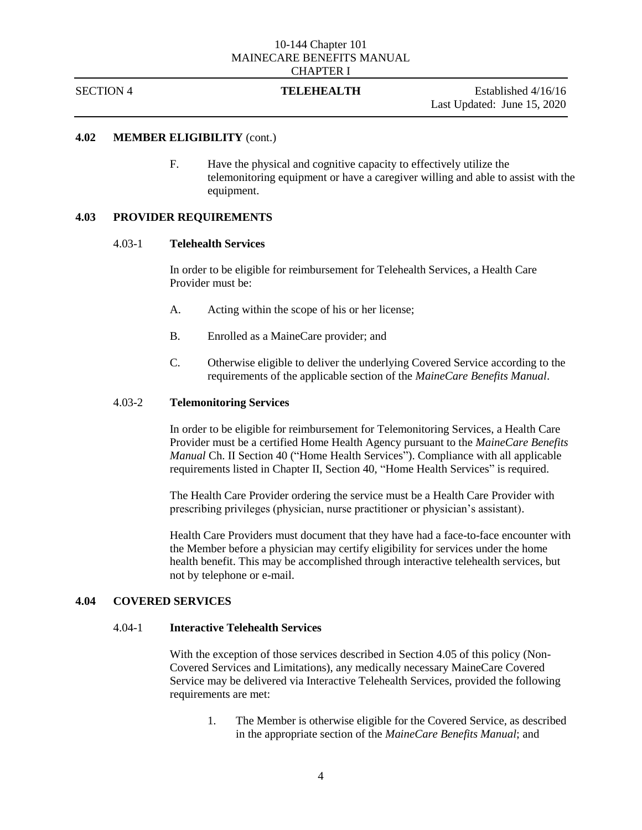SECTION 4 **TELEHEALTH** Established 4/16/16 Last Updated: June 15, 2020

# **4.02 MEMBER ELIGIBILITY** (cont.)

F. Have the physical and cognitive capacity to effectively utilize the telemonitoring equipment or have a caregiver willing and able to assist with the equipment.

# **4.03 PROVIDER REQUIREMENTS**

### 4.03-1 **Telehealth Services**

In order to be eligible for reimbursement for Telehealth Services, a Health Care Provider must be:

- A. Acting within the scope of his or her license;
- B. Enrolled as a MaineCare provider; and
- C. Otherwise eligible to deliver the underlying Covered Service according to the requirements of the applicable section of the *MaineCare Benefits Manual*.

### 4.03-2 **Telemonitoring Services**

In order to be eligible for reimbursement for Telemonitoring Services, a Health Care Provider must be a certified Home Health Agency pursuant to the *MaineCare Benefits Manual* Ch. II Section 40 ("Home Health Services"). Compliance with all applicable requirements listed in Chapter II, Section 40, "Home Health Services" is required.

The Health Care Provider ordering the service must be a Health Care Provider with prescribing privileges (physician, nurse practitioner or physician's assistant).

Health Care Providers must document that they have had a face-to-face encounter with the Member before a physician may certify eligibility for services under the home health benefit. This may be accomplished through interactive telehealth services, but not by telephone or e-mail.

# **4.04 COVERED SERVICES**

# 4.04-1 **Interactive Telehealth Services**

With the exception of those services described in Section 4.05 of this policy (Non-Covered Services and Limitations), any medically necessary MaineCare Covered Service may be delivered via Interactive Telehealth Services, provided the following requirements are met:

1. The Member is otherwise eligible for the Covered Service, as described in the appropriate section of the *MaineCare Benefits Manual*; and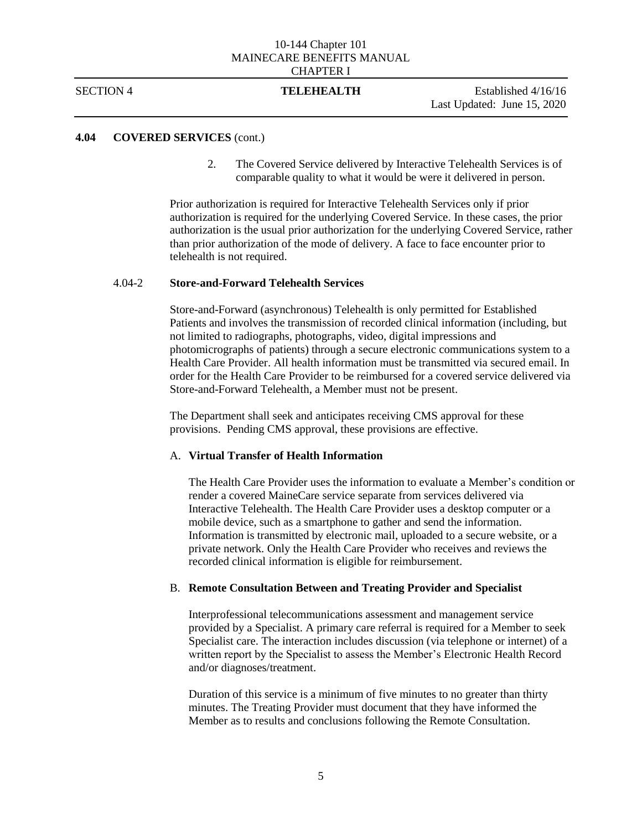SECTION 4 **TELEHEALTH** Established 4/16/16 Last Updated: June 15, 2020

# **4.04 COVERED SERVICES** (cont.)

2. The Covered Service delivered by Interactive Telehealth Services is of comparable quality to what it would be were it delivered in person.

Prior authorization is required for Interactive Telehealth Services only if prior authorization is required for the underlying Covered Service. In these cases, the prior authorization is the usual prior authorization for the underlying Covered Service, rather than prior authorization of the mode of delivery. A face to face encounter prior to telehealth is not required.

# 4.04-2 **Store-and-Forward Telehealth Services**

Store-and-Forward (asynchronous) Telehealth is only permitted for Established Patients and involves the transmission of recorded clinical information (including, but not limited to radiographs, photographs, video, digital impressions and photomicrographs of patients) through a secure electronic communications system to a Health Care Provider. All health information must be transmitted via secured email. In order for the Health Care Provider to be reimbursed for a covered service delivered via Store-and-Forward Telehealth, a Member must not be present.

The Department shall seek and anticipates receiving CMS approval for these provisions. Pending CMS approval, these provisions are effective.

# A. **Virtual Transfer of Health Information**

The Health Care Provider uses the information to evaluate a Member's condition or render a covered MaineCare service separate from services delivered via Interactive Telehealth. The Health Care Provider uses a desktop computer or a mobile device, such as a smartphone to gather and send the information. Information is transmitted by electronic mail, uploaded to a secure website, or a private network. Only the Health Care Provider who receives and reviews the recorded clinical information is eligible for reimbursement.

# B. **Remote Consultation Between and Treating Provider and Specialist**

Interprofessional telecommunications assessment and management service provided by a Specialist. A primary care referral is required for a Member to seek Specialist care. The interaction includes discussion (via telephone or internet) of a written report by the Specialist to assess the Member's Electronic Health Record and/or diagnoses/treatment.

Duration of this service is a minimum of five minutes to no greater than thirty minutes. The Treating Provider must document that they have informed the Member as to results and conclusions following the Remote Consultation.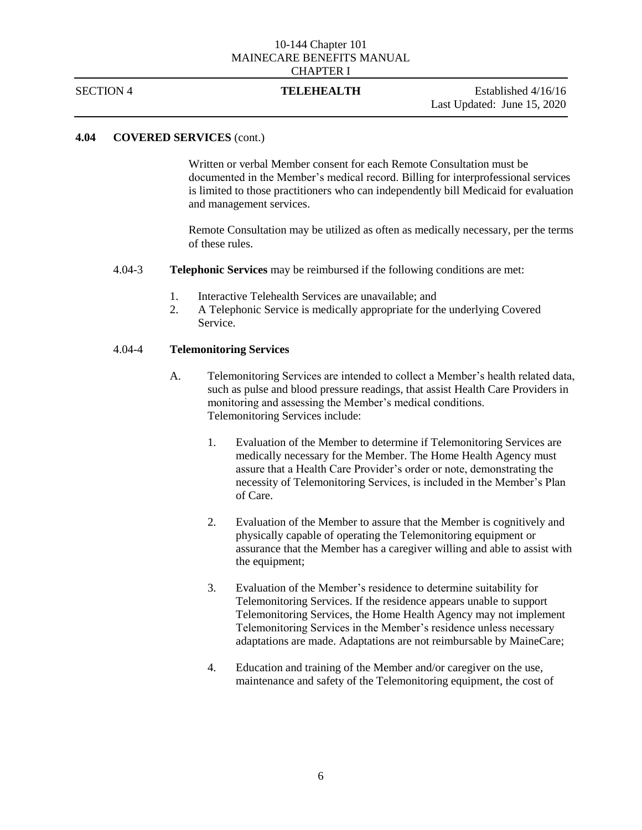SECTION 4 **TELEHEALTH** Established 4/16/16 Last Updated: June 15, 2020

# **4.04 COVERED SERVICES** (cont.)

Written or verbal Member consent for each Remote Consultation must be documented in the Member's medical record. Billing for interprofessional services is limited to those practitioners who can independently bill Medicaid for evaluation and management services.

Remote Consultation may be utilized as often as medically necessary, per the terms of these rules.

- 4.04-3 **Telephonic Services** may be reimbursed if the following conditions are met:
	- 1. Interactive Telehealth Services are unavailable; and
	- 2. A Telephonic Service is medically appropriate for the underlying Covered Service.

### 4.04-4 **Telemonitoring Services**

- A. Telemonitoring Services are intended to collect a Member's health related data, such as pulse and blood pressure readings, that assist Health Care Providers in monitoring and assessing the Member's medical conditions. Telemonitoring Services include:
	- 1. Evaluation of the Member to determine if Telemonitoring Services are medically necessary for the Member. The Home Health Agency must assure that a Health Care Provider's order or note, demonstrating the necessity of Telemonitoring Services, is included in the Member's Plan of Care.
	- 2. Evaluation of the Member to assure that the Member is cognitively and physically capable of operating the Telemonitoring equipment or assurance that the Member has a caregiver willing and able to assist with the equipment;
	- 3. Evaluation of the Member's residence to determine suitability for Telemonitoring Services. If the residence appears unable to support Telemonitoring Services, the Home Health Agency may not implement Telemonitoring Services in the Member's residence unless necessary adaptations are made. Adaptations are not reimbursable by MaineCare;
	- 4. Education and training of the Member and/or caregiver on the use, maintenance and safety of the Telemonitoring equipment, the cost of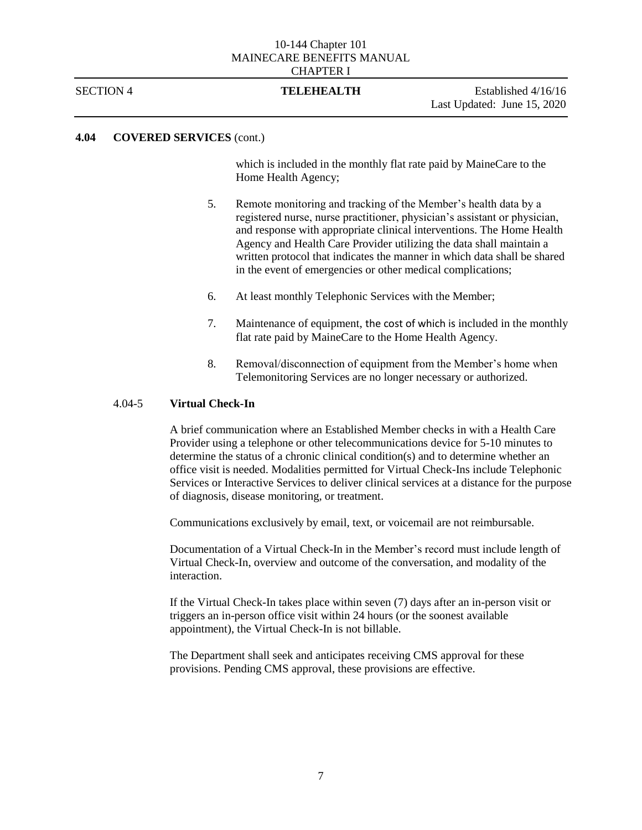SECTION 4 **TELEHEALTH** Established 4/16/16 Last Updated: June 15, 2020

# **4.04 COVERED SERVICES** (cont.)

which is included in the monthly flat rate paid by MaineCare to the Home Health Agency;

- 5. Remote monitoring and tracking of the Member's health data by a registered nurse, nurse practitioner, physician's assistant or physician, and response with appropriate clinical interventions. The Home Health Agency and Health Care Provider utilizing the data shall maintain a written protocol that indicates the manner in which data shall be shared in the event of emergencies or other medical complications;
- 6. At least monthly Telephonic Services with the Member;
- 7. Maintenance of equipment, the cost of which is included in the monthly flat rate paid by MaineCare to the Home Health Agency.
- 8. Removal/disconnection of equipment from the Member's home when Telemonitoring Services are no longer necessary or authorized.

# 4.04-5 **Virtual Check-In**

A brief communication where an Established Member checks in with a Health Care Provider using a telephone or other telecommunications device for 5-10 minutes to determine the status of a chronic clinical condition(s) and to determine whether an office visit is needed. Modalities permitted for Virtual Check-Ins include Telephonic Services or Interactive Services to deliver clinical services at a distance for the purpose of diagnosis, disease monitoring, or treatment.

Communications exclusively by email, text, or voicemail are not reimbursable.

Documentation of a Virtual Check-In in the Member's record must include length of Virtual Check-In, overview and outcome of the conversation, and modality of the interaction.

If the Virtual Check-In takes place within seven (7) days after an in-person visit or triggers an in-person office visit within 24 hours (or the soonest available appointment), the Virtual Check-In is not billable.

The Department shall seek and anticipates receiving CMS approval for these provisions. Pending CMS approval, these provisions are effective.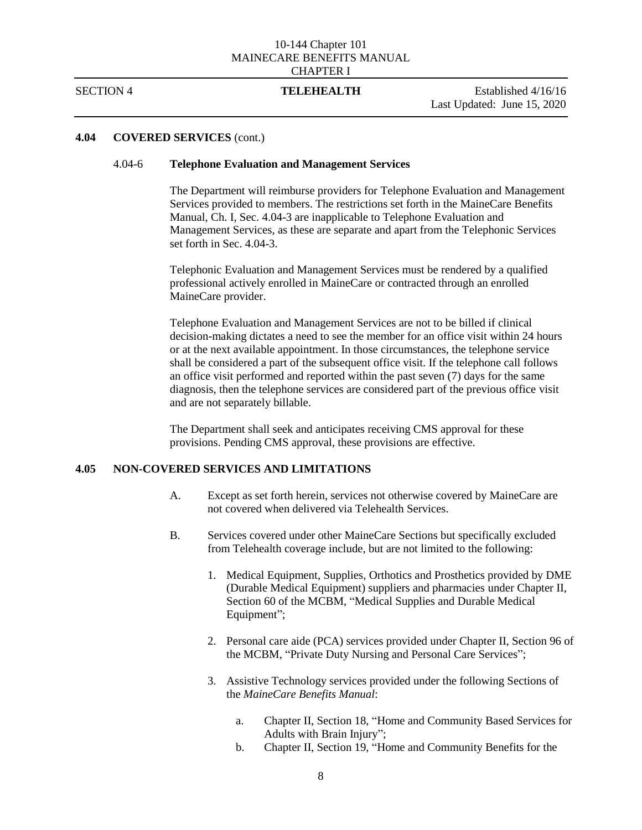### SECTION 4 **TELEHEALTH** Established 4/16/16

Last Updated: June 15, 2020

# **4.04 COVERED SERVICES** (cont.)

### 4.04-6 **Telephone Evaluation and Management Services**

The Department will reimburse providers for Telephone Evaluation and Management Services provided to members. The restrictions set forth in the MaineCare Benefits Manual, Ch. I, Sec. 4.04-3 are inapplicable to Telephone Evaluation and Management Services, as these are separate and apart from the Telephonic Services set forth in Sec. 4.04-3.

Telephonic Evaluation and Management Services must be rendered by a qualified professional actively enrolled in MaineCare or contracted through an enrolled MaineCare provider.

Telephone Evaluation and Management Services are not to be billed if clinical decision-making dictates a need to see the member for an office visit within 24 hours or at the next available appointment. In those circumstances, the telephone service shall be considered a part of the subsequent office visit. If the telephone call follows an office visit performed and reported within the past seven (7) days for the same diagnosis, then the telephone services are considered part of the previous office visit and are not separately billable.

The Department shall seek and anticipates receiving CMS approval for these provisions. Pending CMS approval, these provisions are effective.

# **4.05 NON-COVERED SERVICES AND LIMITATIONS**

- A. Except as set forth herein, services not otherwise covered by MaineCare are not covered when delivered via Telehealth Services.
- B. Services covered under other MaineCare Sections but specifically excluded from Telehealth coverage include, but are not limited to the following:
	- 1. Medical Equipment, Supplies, Orthotics and Prosthetics provided by DME (Durable Medical Equipment) suppliers and pharmacies under Chapter II, Section 60 of the MCBM, "Medical Supplies and Durable Medical Equipment";
	- 2. Personal care aide (PCA) services provided under Chapter II, Section 96 of the MCBM, "Private Duty Nursing and Personal Care Services";
	- 3. Assistive Technology services provided under the following Sections of the *MaineCare Benefits Manual*:
		- a. Chapter II, Section 18, "Home and Community Based Services for Adults with Brain Injury";
		- b. Chapter II, Section 19, "Home and Community Benefits for the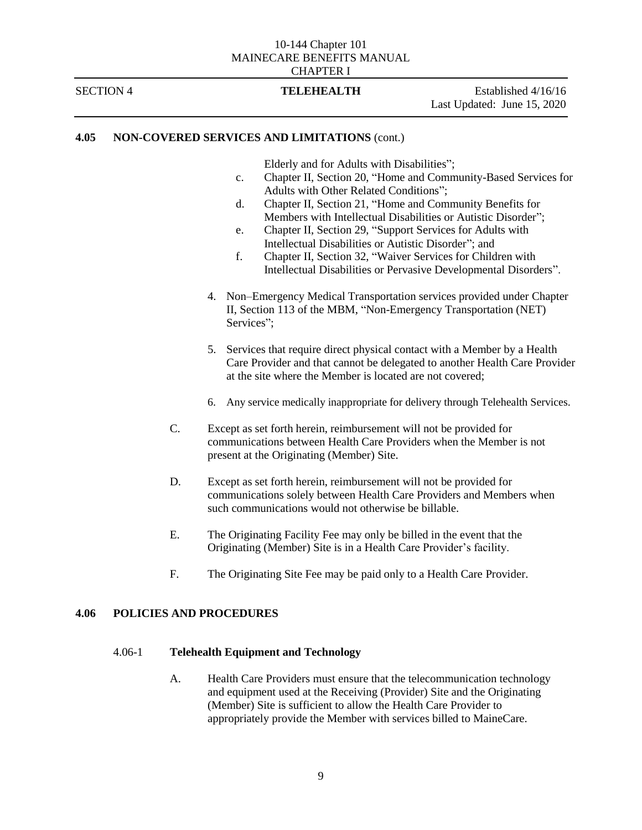SECTION 4 **TELEHEALTH** Established 4/16/16 Last Updated: June 15, 2020

# **4.05 NON-COVERED SERVICES AND LIMITATIONS** (cont.)

Elderly and for Adults with Disabilities";

- c. Chapter II, Section 20, "Home and Community-Based Services for Adults with Other Related Conditions";
- d. Chapter II, Section 21, "Home and Community Benefits for Members with Intellectual Disabilities or Autistic Disorder";
- e. Chapter II, Section 29, "Support Services for Adults with Intellectual Disabilities or Autistic Disorder"; and
- f. Chapter II, Section 32, "Waiver Services for Children with Intellectual Disabilities or Pervasive Developmental Disorders".
- 4. Non–Emergency Medical Transportation services provided under Chapter II, Section 113 of the MBM, "Non-Emergency Transportation (NET) Services";
- 5. Services that require direct physical contact with a Member by a Health Care Provider and that cannot be delegated to another Health Care Provider at the site where the Member is located are not covered;
- 6. Any service medically inappropriate for delivery through Telehealth Services.
- C. Except as set forth herein, reimbursement will not be provided for communications between Health Care Providers when the Member is not present at the Originating (Member) Site.
- D. Except as set forth herein, reimbursement will not be provided for communications solely between Health Care Providers and Members when such communications would not otherwise be billable.
- E. The Originating Facility Fee may only be billed in the event that the Originating (Member) Site is in a Health Care Provider's facility.
- F. The Originating Site Fee may be paid only to a Health Care Provider.

# **4.06 POLICIES AND PROCEDURES**

### 4.06-1 **Telehealth Equipment and Technology**

A. Health Care Providers must ensure that the telecommunication technology and equipment used at the Receiving (Provider) Site and the Originating (Member) Site is sufficient to allow the Health Care Provider to appropriately provide the Member with services billed to MaineCare.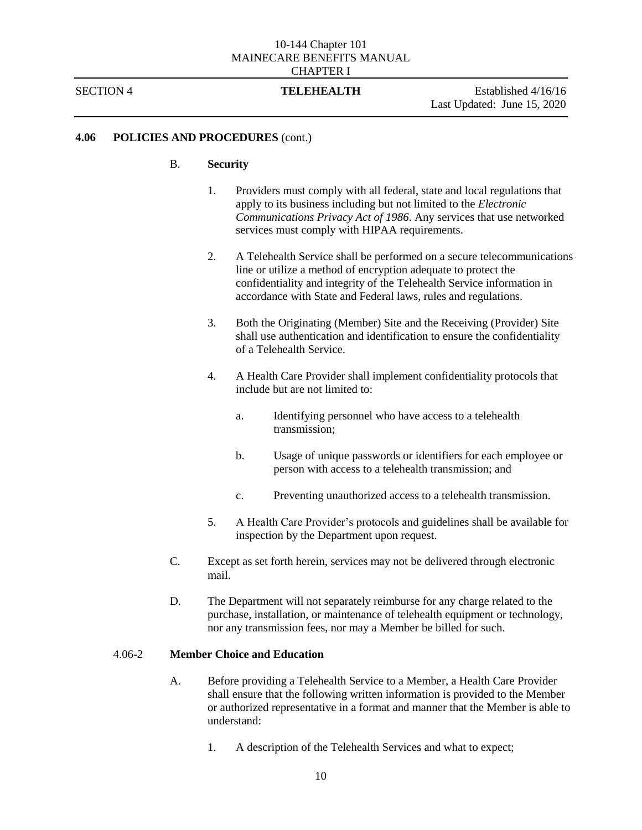SECTION 4 **TELEHEALTH** Established 4/16/16 Last Updated: June 15, 2020

# **4.06 POLICIES AND PROCEDURES** (cont.)

### B. **Security**

- 1. Providers must comply with all federal, state and local regulations that apply to its business including but not limited to the *Electronic Communications Privacy Act of 1986*. Any services that use networked services must comply with HIPAA requirements.
- 2. A Telehealth Service shall be performed on a secure telecommunications line or utilize a method of encryption adequate to protect the confidentiality and integrity of the Telehealth Service information in accordance with State and Federal laws, rules and regulations.
- 3. Both the Originating (Member) Site and the Receiving (Provider) Site shall use authentication and identification to ensure the confidentiality of a Telehealth Service.
- 4. A Health Care Provider shall implement confidentiality protocols that include but are not limited to:
	- a. Identifying personnel who have access to a telehealth transmission;
	- b. Usage of unique passwords or identifiers for each employee or person with access to a telehealth transmission; and
	- c. Preventing unauthorized access to a telehealth transmission.
- 5. A Health Care Provider's protocols and guidelines shall be available for inspection by the Department upon request.
- C. Except as set forth herein, services may not be delivered through electronic mail.
- D. The Department will not separately reimburse for any charge related to the purchase, installation, or maintenance of telehealth equipment or technology, nor any transmission fees, nor may a Member be billed for such.

# 4.06-2 **Member Choice and Education**

- A. Before providing a Telehealth Service to a Member, a Health Care Provider shall ensure that the following written information is provided to the Member or authorized representative in a format and manner that the Member is able to understand:
	- 1. A description of the Telehealth Services and what to expect;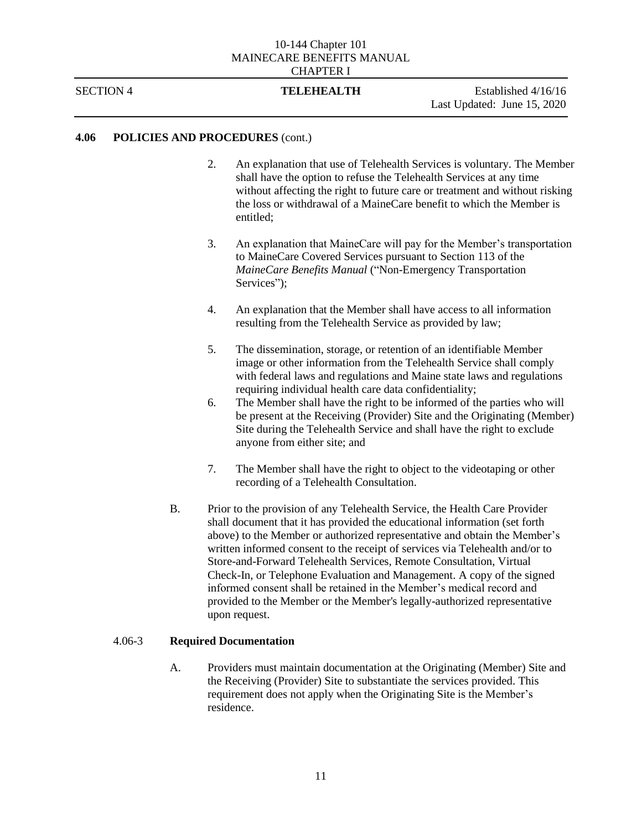SECTION 4 **TELEHEALTH** Established 4/16/16 Last Updated: June 15, 2020

# **4.06 POLICIES AND PROCEDURES** (cont.)

- 2. An explanation that use of Telehealth Services is voluntary. The Member shall have the option to refuse the Telehealth Services at any time without affecting the right to future care or treatment and without risking the loss or withdrawal of a MaineCare benefit to which the Member is entitled;
- 3. An explanation that MaineCare will pay for the Member's transportation to MaineCare Covered Services pursuant to Section 113 of the *MaineCare Benefits Manual* ("Non-Emergency Transportation Services");
- 4. An explanation that the Member shall have access to all information resulting from the Telehealth Service as provided by law;
- 5. The dissemination, storage, or retention of an identifiable Member image or other information from the Telehealth Service shall comply with federal laws and regulations and Maine state laws and regulations requiring individual health care data confidentiality;
- 6. The Member shall have the right to be informed of the parties who will be present at the Receiving (Provider) Site and the Originating (Member) Site during the Telehealth Service and shall have the right to exclude anyone from either site; and
- 7. The Member shall have the right to object to the videotaping or other recording of a Telehealth Consultation.
- B. Prior to the provision of any Telehealth Service, the Health Care Provider shall document that it has provided the educational information (set forth above) to the Member or authorized representative and obtain the Member's written informed consent to the receipt of services via Telehealth and/or to Store-and-Forward Telehealth Services, Remote Consultation, Virtual Check-In, or Telephone Evaluation and Management. A copy of the signed informed consent shall be retained in the Member's medical record and provided to the Member or the Member's legally-authorized representative upon request.

# 4.06-3 **Required Documentation**

A. Providers must maintain documentation at the Originating (Member) Site and the Receiving (Provider) Site to substantiate the services provided. This requirement does not apply when the Originating Site is the Member's residence.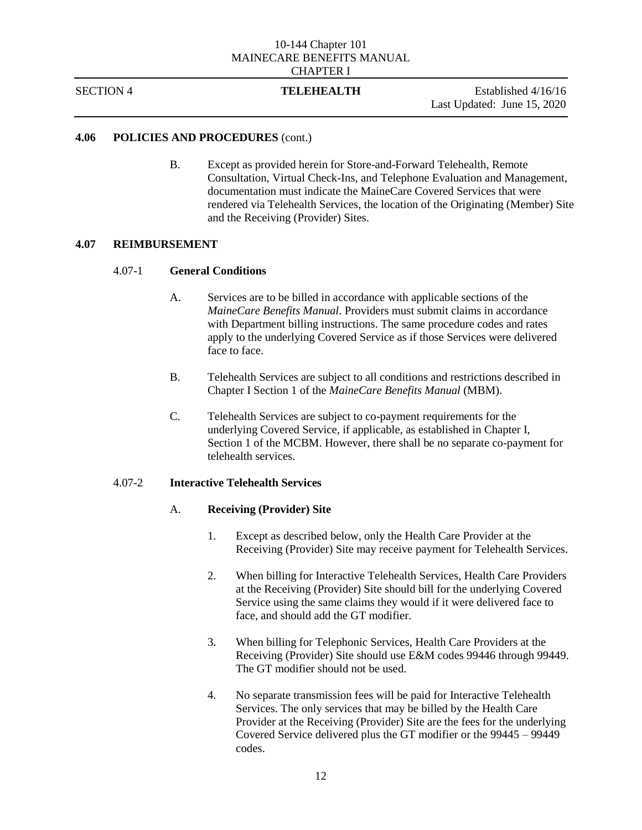SECTION 4 **TELEHEALTH** Established 4/16/16 Last Updated: June 15, 2020

# **4.06 POLICIES AND PROCEDURES** (cont.)

B. Except as provided herein for Store-and-Forward Telehealth, Remote Consultation, Virtual Check-Ins, and Telephone Evaluation and Management, documentation must indicate the MaineCare Covered Services that were rendered via Telehealth Services, the location of the Originating (Member) Site and the Receiving (Provider) Sites.

# **4.07 REIMBURSEMENT**

# 4.07-1 **General Conditions**

- A. Services are to be billed in accordance with applicable sections of the *MaineCare Benefits Manual*. Providers must submit claims in accordance with Department billing instructions. The same procedure codes and rates apply to the underlying Covered Service as if those Services were delivered face to face.
- B. Telehealth Services are subject to all conditions and restrictions described in Chapter I Section 1 of the *MaineCare Benefits Manual* (MBM).
- C. Telehealth Services are subject to co-payment requirements for the underlying Covered Service, if applicable, as established in Chapter I, Section 1 of the MCBM. However, there shall be no separate co-payment for telehealth services.

# 4.07-2 **Interactive Telehealth Services**

# A. **Receiving (Provider) Site**

- 1. Except as described below, only the Health Care Provider at the Receiving (Provider) Site may receive payment for Telehealth Services.
- 2. When billing for Interactive Telehealth Services, Health Care Providers at the Receiving (Provider) Site should bill for the underlying Covered Service using the same claims they would if it were delivered face to face, and should add the GT modifier.
- 3. When billing for Telephonic Services, Health Care Providers at the Receiving (Provider) Site should use E&M codes 99446 through 99449. The GT modifier should not be used.
- 4. No separate transmission fees will be paid for Interactive Telehealth Services. The only services that may be billed by the Health Care Provider at the Receiving (Provider) Site are the fees for the underlying Covered Service delivered plus the GT modifier or the 99445 – 99449 codes.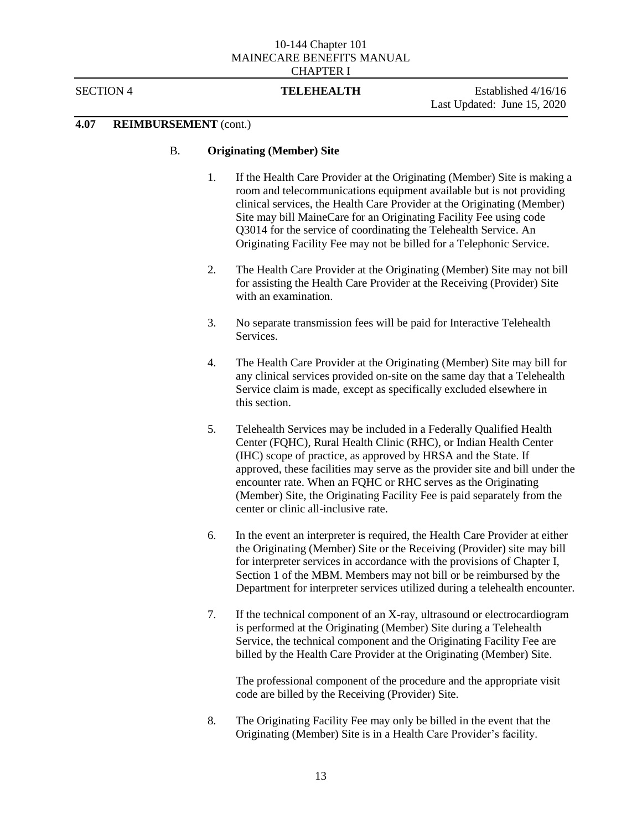## SECTION 4 **TELEHEALTH** Established 4/16/16

Last Updated: June 15, 2020

# **4.07 REIMBURSEMENT** (cont.)

# B. **Originating (Member) Site**

- 1. If the Health Care Provider at the Originating (Member) Site is making a room and telecommunications equipment available but is not providing clinical services, the Health Care Provider at the Originating (Member) Site may bill MaineCare for an Originating Facility Fee using code Q3014 for the service of coordinating the Telehealth Service. An Originating Facility Fee may not be billed for a Telephonic Service.
- 2. The Health Care Provider at the Originating (Member) Site may not bill for assisting the Health Care Provider at the Receiving (Provider) Site with an examination.
- 3. No separate transmission fees will be paid for Interactive Telehealth Services.
- 4. The Health Care Provider at the Originating (Member) Site may bill for any clinical services provided on-site on the same day that a Telehealth Service claim is made, except as specifically excluded elsewhere in this section.
- 5. Telehealth Services may be included in a Federally Qualified Health Center (FQHC), Rural Health Clinic (RHC), or Indian Health Center (IHC) scope of practice, as approved by HRSA and the State. If approved, these facilities may serve as the provider site and bill under the encounter rate. When an FQHC or RHC serves as the Originating (Member) Site, the Originating Facility Fee is paid separately from the center or clinic all-inclusive rate.
- 6. In the event an interpreter is required, the Health Care Provider at either the Originating (Member) Site or the Receiving (Provider) site may bill for interpreter services in accordance with the provisions of Chapter I, Section 1 of the MBM. Members may not bill or be reimbursed by the Department for interpreter services utilized during a telehealth encounter.
- 7. If the technical component of an X-ray, ultrasound or electrocardiogram is performed at the Originating (Member) Site during a Telehealth Service, the technical component and the Originating Facility Fee are billed by the Health Care Provider at the Originating (Member) Site.

The professional component of the procedure and the appropriate visit code are billed by the Receiving (Provider) Site.

8. The Originating Facility Fee may only be billed in the event that the Originating (Member) Site is in a Health Care Provider's facility.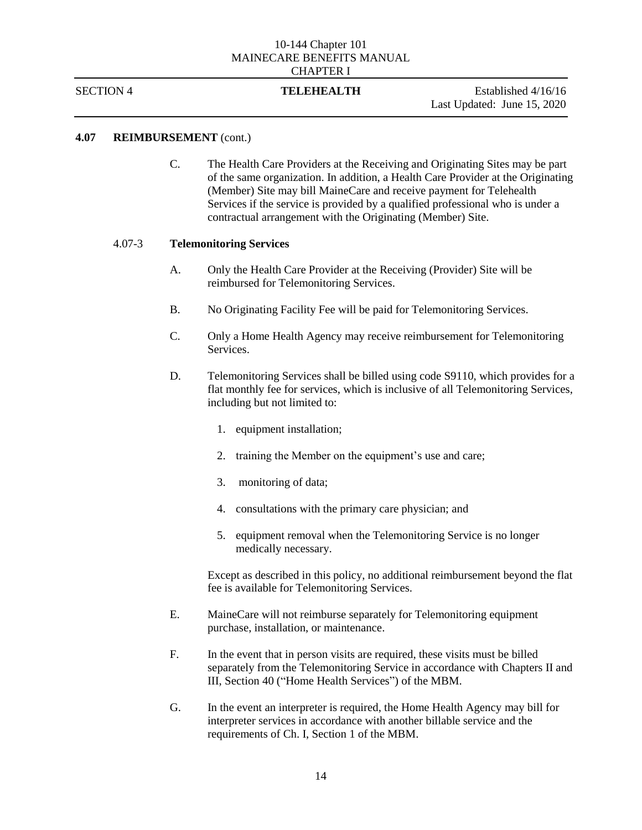SECTION 4 **TELEHEALTH** Established 4/16/16 Last Updated: June 15, 2020

# **4.07 REIMBURSEMENT** (cont.)

C. The Health Care Providers at the Receiving and Originating Sites may be part of the same organization. In addition, a Health Care Provider at the Originating (Member) Site may bill MaineCare and receive payment for Telehealth Services if the service is provided by a qualified professional who is under a contractual arrangement with the Originating (Member) Site.

### 4.07-3 **Telemonitoring Services**

- A. Only the Health Care Provider at the Receiving (Provider) Site will be reimbursed for Telemonitoring Services.
- B. No Originating Facility Fee will be paid for Telemonitoring Services.
- C. Only a Home Health Agency may receive reimbursement for Telemonitoring Services.
- D. Telemonitoring Services shall be billed using code S9110, which provides for a flat monthly fee for services, which is inclusive of all Telemonitoring Services, including but not limited to:
	- 1. equipment installation;
	- 2. training the Member on the equipment's use and care;
	- 3. monitoring of data;
	- 4. consultations with the primary care physician; and
	- 5. equipment removal when the Telemonitoring Service is no longer medically necessary.

Except as described in this policy, no additional reimbursement beyond the flat fee is available for Telemonitoring Services.

- E. MaineCare will not reimburse separately for Telemonitoring equipment purchase, installation, or maintenance.
- F. In the event that in person visits are required, these visits must be billed separately from the Telemonitoring Service in accordance with Chapters II and III, Section 40 ("Home Health Services") of the MBM.
- G. In the event an interpreter is required, the Home Health Agency may bill for interpreter services in accordance with another billable service and the requirements of Ch. I, Section 1 of the MBM.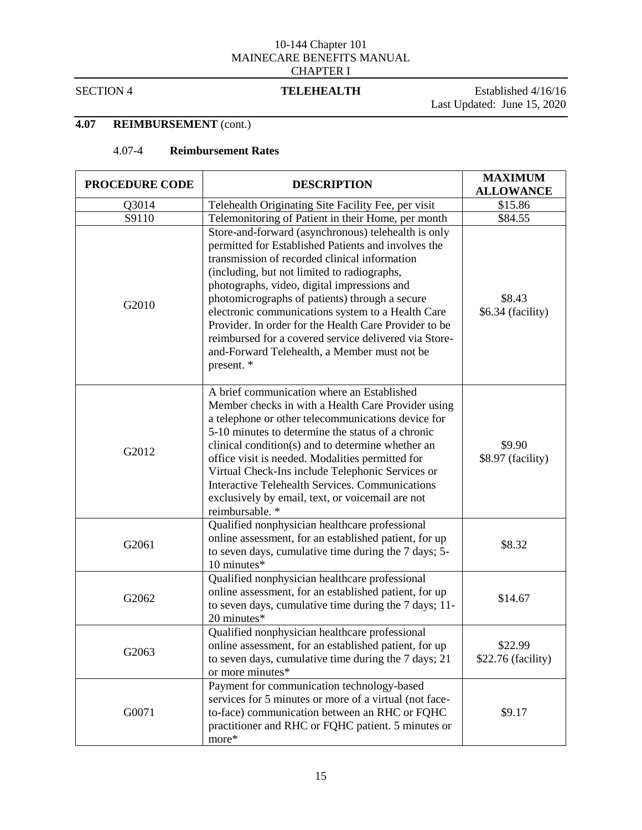SECTION 4 **TELEHEALTH** Established 4/16/16 Last Updated: June 15, 2020

# **4.07 REIMBURSEMENT** (cont.)

# 4.07-4 **Reimbursement Rates**

| <b>PROCEDURE CODE</b> | <b>DESCRIPTION</b>                                                                                                                                                                                                                                                                                                                                                                                                                                                                                                                               | <b>MAXIMUM</b><br><b>ALLOWANCE</b> |
|-----------------------|--------------------------------------------------------------------------------------------------------------------------------------------------------------------------------------------------------------------------------------------------------------------------------------------------------------------------------------------------------------------------------------------------------------------------------------------------------------------------------------------------------------------------------------------------|------------------------------------|
| Q3014                 | Telehealth Originating Site Facility Fee, per visit                                                                                                                                                                                                                                                                                                                                                                                                                                                                                              | \$15.86                            |
| S9110                 | Telemonitoring of Patient in their Home, per month                                                                                                                                                                                                                                                                                                                                                                                                                                                                                               | \$84.55                            |
| G2010                 | Store-and-forward (asynchronous) telehealth is only<br>permitted for Established Patients and involves the<br>transmission of recorded clinical information<br>(including, but not limited to radiographs,<br>photographs, video, digital impressions and<br>photomicrographs of patients) through a secure<br>electronic communications system to a Health Care<br>Provider. In order for the Health Care Provider to be<br>reimbursed for a covered service delivered via Store-<br>and-Forward Telehealth, a Member must not be<br>present. * | \$8.43<br>\$6.34 (facility)        |
| G2012                 | A brief communication where an Established<br>Member checks in with a Health Care Provider using<br>a telephone or other telecommunications device for<br>5-10 minutes to determine the status of a chronic<br>clinical condition(s) and to determine whether an<br>office visit is needed. Modalities permitted for<br>Virtual Check-Ins include Telephonic Services or<br><b>Interactive Telehealth Services. Communications</b><br>exclusively by email, text, or voicemail are not<br>reimbursable. *                                        | \$9.90<br>\$8.97 (facility)        |
| G2061                 | Qualified nonphysician healthcare professional<br>online assessment, for an established patient, for up<br>to seven days, cumulative time during the 7 days; 5-<br>10 minutes*                                                                                                                                                                                                                                                                                                                                                                   | \$8.32                             |
| G2062                 | Qualified nonphysician healthcare professional<br>online assessment, for an established patient, for up<br>to seven days, cumulative time during the 7 days; 11-<br>20 minutes*                                                                                                                                                                                                                                                                                                                                                                  | \$14.67                            |
| G2063                 | Qualified nonphysician healthcare professional<br>online assessment, for an established patient, for up<br>to seven days, cumulative time during the 7 days; 21<br>or more minutes*                                                                                                                                                                                                                                                                                                                                                              | \$22.99<br>$$22.76$ (facility)     |
| G0071                 | Payment for communication technology-based<br>services for 5 minutes or more of a virtual (not face-<br>to-face) communication between an RHC or FQHC<br>practitioner and RHC or FQHC patient. 5 minutes or<br>more*                                                                                                                                                                                                                                                                                                                             | \$9.17                             |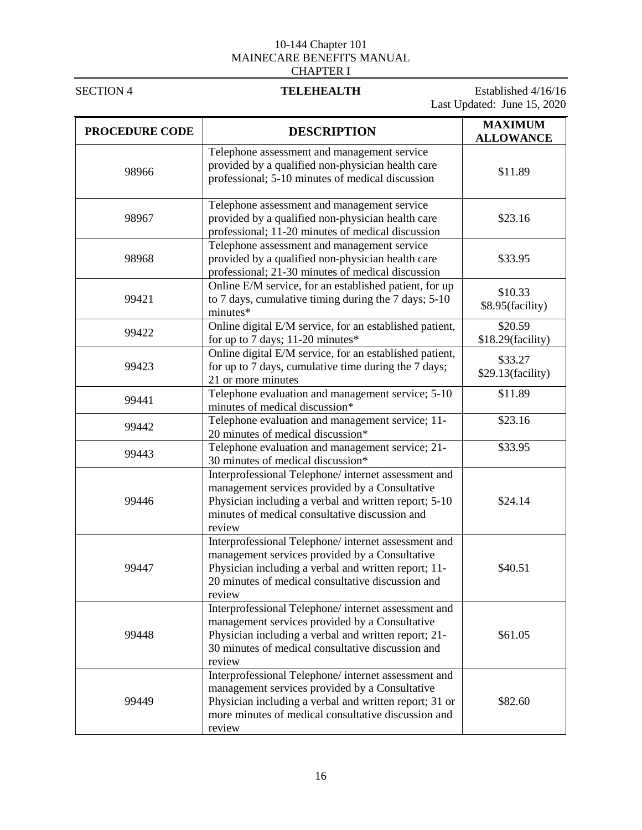SECTION 4 **TELEHEALTH** Established 4/16/16 Last Updated: June 15, 2020

| <b>PROCEDURE CODE</b> | <b>DESCRIPTION</b>                                                                                                                                                                                                                | <b>MAXIMUM</b><br><b>ALLOWANCE</b> |
|-----------------------|-----------------------------------------------------------------------------------------------------------------------------------------------------------------------------------------------------------------------------------|------------------------------------|
| 98966                 | Telephone assessment and management service<br>provided by a qualified non-physician health care<br>professional; 5-10 minutes of medical discussion                                                                              | \$11.89                            |
| 98967                 | Telephone assessment and management service<br>provided by a qualified non-physician health care<br>professional; 11-20 minutes of medical discussion                                                                             | \$23.16                            |
| 98968                 | Telephone assessment and management service<br>provided by a qualified non-physician health care<br>professional; 21-30 minutes of medical discussion                                                                             | \$33.95                            |
| 99421                 | Online E/M service, for an established patient, for up<br>to 7 days, cumulative timing during the 7 days; 5-10<br>minutes*                                                                                                        | \$10.33<br>\$8.95(facility)        |
| 99422                 | Online digital E/M service, for an established patient,<br>for up to 7 days; 11-20 minutes*                                                                                                                                       | \$20.59<br>\$18.29(facility)       |
| 99423                 | Online digital E/M service, for an established patient,<br>for up to 7 days, cumulative time during the 7 days;<br>21 or more minutes                                                                                             | \$33.27<br>\$29.13(facility)       |
| 99441                 | Telephone evaluation and management service; 5-10<br>minutes of medical discussion*                                                                                                                                               | \$11.89                            |
| 99442                 | Telephone evaluation and management service; 11-<br>20 minutes of medical discussion*                                                                                                                                             | \$23.16                            |
| 99443                 | Telephone evaluation and management service; 21-<br>30 minutes of medical discussion*                                                                                                                                             | \$33.95                            |
| 99446                 | Interprofessional Telephone/ internet assessment and<br>management services provided by a Consultative<br>Physician including a verbal and written report; 5-10<br>minutes of medical consultative discussion and<br>review       | \$24.14                            |
| 99447                 | Interprofessional Telephone/ internet assessment and<br>management services provided by a Consultative<br>Physician including a verbal and written report; 11-<br>20 minutes of medical consultative discussion and<br>review     | \$40.51                            |
| 99448                 | Interprofessional Telephone/ internet assessment and<br>management services provided by a Consultative<br>Physician including a verbal and written report; 21-<br>30 minutes of medical consultative discussion and<br>review     | \$61.05                            |
| 99449                 | Interprofessional Telephone/ internet assessment and<br>management services provided by a Consultative<br>Physician including a verbal and written report; 31 or<br>more minutes of medical consultative discussion and<br>review | \$82.60                            |